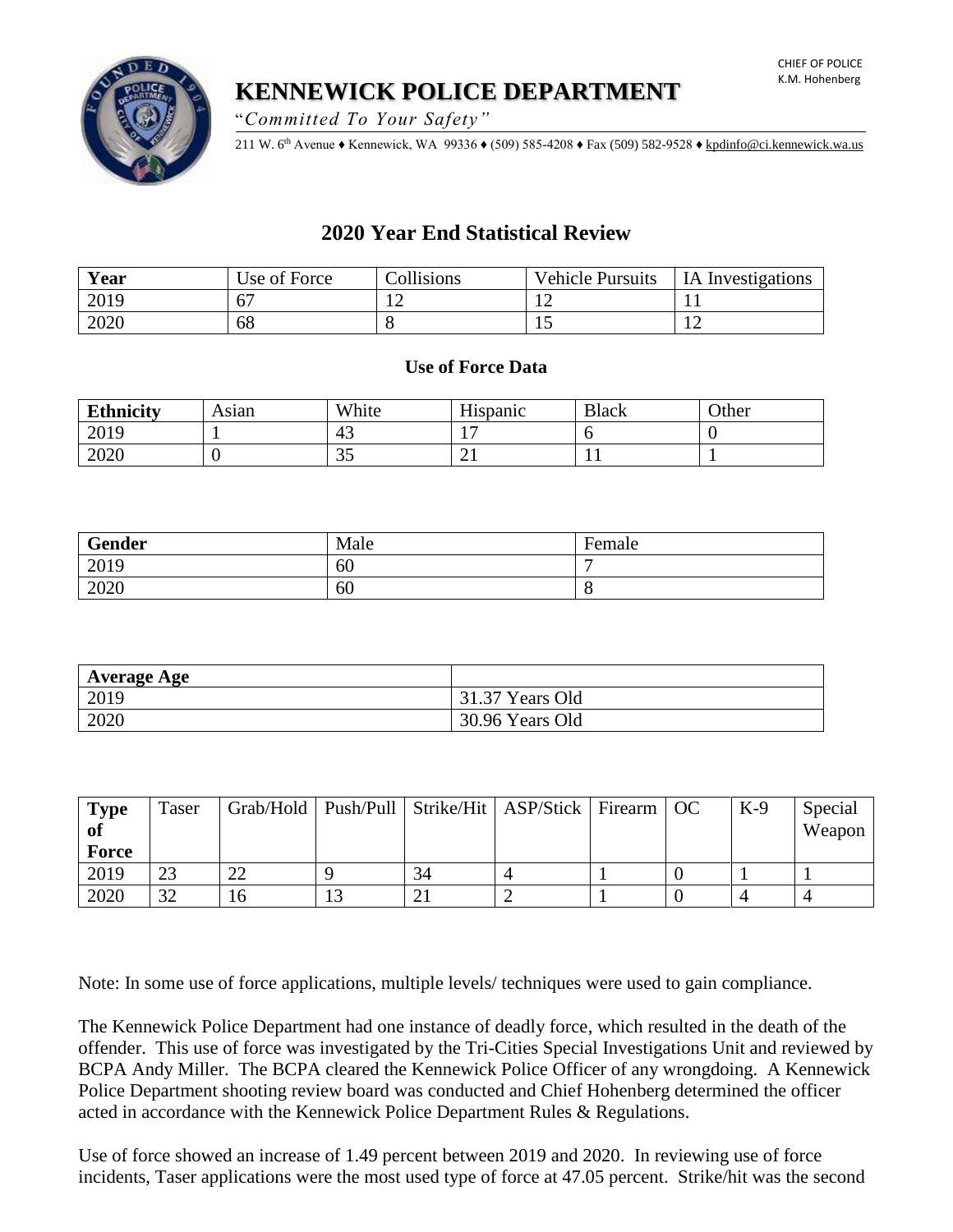**KENNEWICK POLICE DEPARTMENT**

"*Committed To Your Safety"*

211 W. 6th Avenue ♦ Kennewick, WA 99336 ♦ (509) 585-4208 ♦ Fax (509) 582-9528 [♦ kpdinfo@ci.kennewick.wa.us](mailto:kpdinfo@ci.kennewick.wa.us)

# **2020 Year End Statistical Review**

| Year | Use of Force | Collisions | <b>Vehicle Pursuits</b> | <b>IA</b> Investigations |
|------|--------------|------------|-------------------------|--------------------------|
| 2019 |              |            |                         |                          |
| 2020 | 68           |            | ⊥ັ                      |                          |

# **Use of Force Data**

| <b>Ethnicity</b> | Asıan | White          | TT*<br>Hispanic | <b>Black</b> | Other |
|------------------|-------|----------------|-----------------|--------------|-------|
| 2019             |       | 43             |                 |              |       |
| 2020             |       | $\Omega$<br>JJ | ⌒<br>∠⊥         |              |       |

| Gender | Male | Female |
|--------|------|--------|
| 2019   | 60   |        |
| 2020   | 60   |        |

| <b>Average Age</b> |                 |
|--------------------|-----------------|
| 2019               | 31.37 Years Old |
| 2020               | 30.96 Years Old |

| <b>Type</b><br>of | <b>Taser</b> |    |        |    | Grab/Hold   Push/Pull   Strike/Hit   ASP/Stick   Firearm   OC |  | $K-9$ | Special<br>Weapon |
|-------------------|--------------|----|--------|----|---------------------------------------------------------------|--|-------|-------------------|
| <b>Force</b>      |              |    |        |    |                                                               |  |       |                   |
| 2019              | 23           |    |        | 34 |                                                               |  |       |                   |
| 2020              | 32           | 16 | $\sim$ |    |                                                               |  |       |                   |

Note: In some use of force applications, multiple levels/ techniques were used to gain compliance.

The Kennewick Police Department had one instance of deadly force, which resulted in the death of the offender. This use of force was investigated by the Tri-Cities Special Investigations Unit and reviewed by BCPA Andy Miller. The BCPA cleared the Kennewick Police Officer of any wrongdoing. A Kennewick Police Department shooting review board was conducted and Chief Hohenberg determined the officer acted in accordance with the Kennewick Police Department Rules & Regulations.

Use of force showed an increase of 1.49 percent between 2019 and 2020. In reviewing use of force incidents, Taser applications were the most used type of force at 47.05 percent. Strike/hit was the second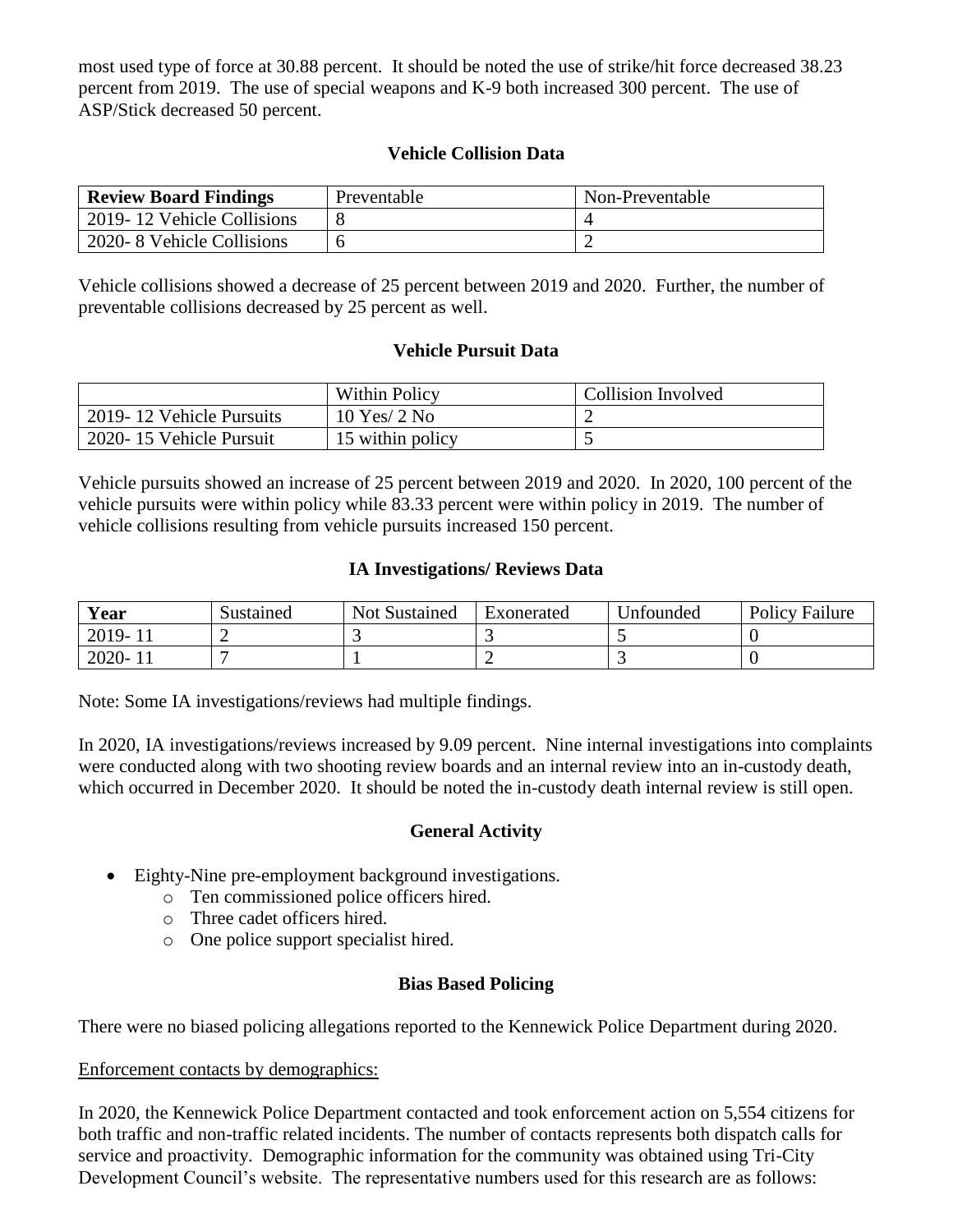most used type of force at 30.88 percent. It should be noted the use of strike/hit force decreased 38.23 percent from 2019. The use of special weapons and K-9 both increased 300 percent. The use of ASP/Stick decreased 50 percent.

# **Vehicle Collision Data**

| <b>Review Board Findings</b> | Preventable | Non-Preventable |
|------------------------------|-------------|-----------------|
| 2019-12 Vehicle Collisions   |             |                 |
| 2020-8 Vehicle Collisions    |             |                 |

Vehicle collisions showed a decrease of 25 percent between 2019 and 2020. Further, the number of preventable collisions decreased by 25 percent as well.

#### **Vehicle Pursuit Data**

|                          | <b>Within Policy</b> | Collision Involved |
|--------------------------|----------------------|--------------------|
| 2019-12 Vehicle Pursuits | $10$ Yes/ $2$ No     |                    |
| 2020-15 Vehicle Pursuit  | 15 within policy     |                    |

Vehicle pursuits showed an increase of 25 percent between 2019 and 2020. In 2020, 100 percent of the vehicle pursuits were within policy while 83.33 percent were within policy in 2019. The number of vehicle collisions resulting from vehicle pursuits increased 150 percent.

## **IA Investigations/ Reviews Data**

| <b>Year</b>             | Sustained | <b>Not Sustained</b> | Exonerated | Unfounded | <b>Policy Failure</b> |
|-------------------------|-----------|----------------------|------------|-----------|-----------------------|
| $2019 - 1$ <sup>*</sup> |           |                      |            |           |                       |
| $2020 - 1$ <sup>*</sup> |           |                      |            |           |                       |

Note: Some IA investigations/reviews had multiple findings.

In 2020, IA investigations/reviews increased by 9.09 percent. Nine internal investigations into complaints were conducted along with two shooting review boards and an internal review into an in-custody death, which occurred in December 2020. It should be noted the in-custody death internal review is still open.

#### **General Activity**

- Eighty-Nine pre-employment background investigations.
	- o Ten commissioned police officers hired.
	- o Three cadet officers hired.
	- o One police support specialist hired.

#### **Bias Based Policing**

There were no biased policing allegations reported to the Kennewick Police Department during 2020.

#### Enforcement contacts by demographics:

In 2020, the Kennewick Police Department contacted and took enforcement action on 5,554 citizens for both traffic and non-traffic related incidents. The number of contacts represents both dispatch calls for service and proactivity. Demographic information for the community was obtained using Tri-City Development Council's website. The representative numbers used for this research are as follows: